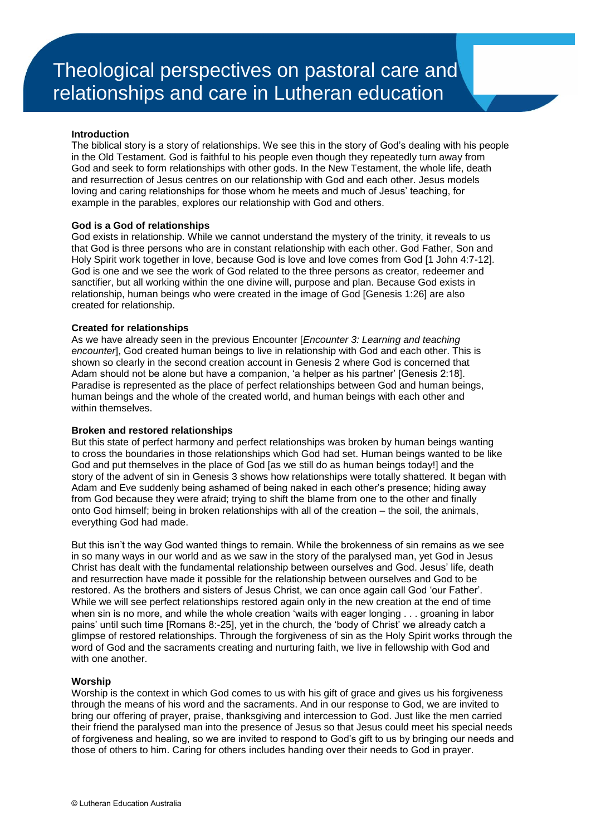#### **Introduction**

The biblical story is a story of relationships. We see this in the story of God's dealing with his people in the Old Testament. God is faithful to his people even though they repeatedly turn away from God and seek to form relationships with other gods. In the New Testament, the whole life, death and resurrection of Jesus centres on our relationship with God and each other. Jesus models loving and caring relationships for those whom he meets and much of Jesus' teaching, for example in the parables, explores our relationship with God and others.

### **God is a God of relationships**

God exists in relationship. While we cannot understand the mystery of the trinity, it reveals to us that God is three persons who are in constant relationship with each other. God Father, Son and Holy Spirit work together in love, because God is love and love comes from God [1 John 4:7-12]. God is one and we see the work of God related to the three persons as creator, redeemer and sanctifier, but all working within the one divine will, purpose and plan. Because God exists in relationship, human beings who were created in the image of God [Genesis 1:26] are also created for relationship.

#### **Created for relationships**

As we have already seen in the previous Encounter [*Encounter 3: Learning and teaching encounter*], God created human beings to live in relationship with God and each other. This is shown so clearly in the second creation account in Genesis 2 where God is concerned that Adam should not be alone but have a companion, 'a helper as his partner' [Genesis 2:18]. Paradise is represented as the place of perfect relationships between God and human beings, human beings and the whole of the created world, and human beings with each other and within themselves.

### **Broken and restored relationships**

But this state of perfect harmony and perfect relationships was broken by human beings wanting to cross the boundaries in those relationships which God had set. Human beings wanted to be like God and put themselves in the place of God [as we still do as human beings today!] and the story of the advent of sin in Genesis 3 shows how relationships were totally shattered. It began with Adam and Eve suddenly being ashamed of being naked in each other's presence; hiding away from God because they were afraid; trying to shift the blame from one to the other and finally onto God himself; being in broken relationships with all of the creation – the soil, the animals, everything God had made.

But this isn't the way God wanted things to remain. While the brokenness of sin remains as we see in so many ways in our world and as we saw in the story of the paralysed man, yet God in Jesus Christ has dealt with the fundamental relationship between ourselves and God. Jesus' life, death and resurrection have made it possible for the relationship between ourselves and God to be restored. As the brothers and sisters of Jesus Christ, we can once again call God 'our Father'. While we will see perfect relationships restored again only in the new creation at the end of time when sin is no more, and while the whole creation 'waits with eager longing . . . groaning in labor pains' until such time [Romans 8:-25], yet in the church, the 'body of Christ' we already catch a glimpse of restored relationships. Through the forgiveness of sin as the Holy Spirit works through the word of God and the sacraments creating and nurturing faith, we live in fellowship with God and with one another.

### **Worship**

Worship is the context in which God comes to us with his gift of grace and gives us his forgiveness through the means of his word and the sacraments. And in our response to God, we are invited to bring our offering of prayer, praise, thanksgiving and intercession to God. Just like the men carried their friend the paralysed man into the presence of Jesus so that Jesus could meet his special needs of forgiveness and healing, so we are invited to respond to God's gift to us by bringing our needs and those of others to him. Caring for others includes handing over their needs to God in prayer.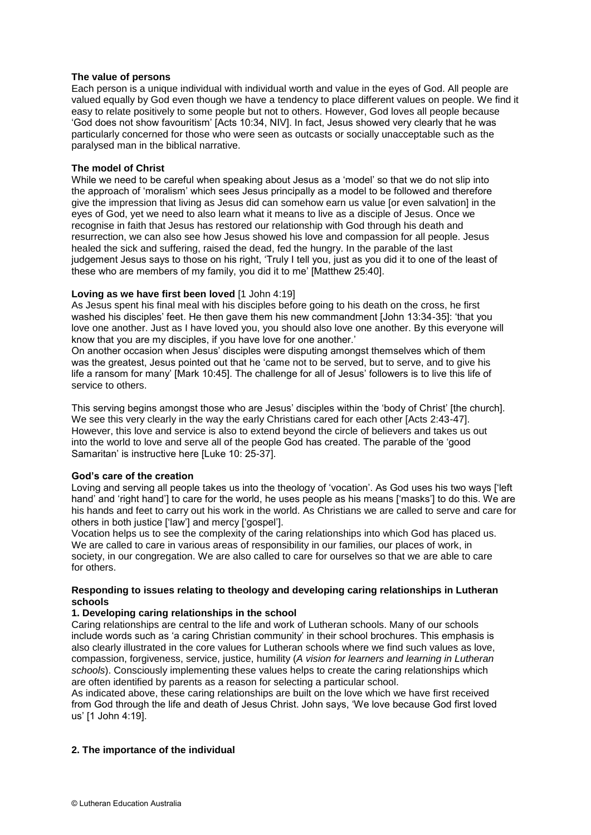# **The value of persons**

Each person is a unique individual with individual worth and value in the eyes of God. All people are valued equally by God even though we have a tendency to place different values on people. We find it easy to relate positively to some people but not to others. However, God loves all people because 'God does not show favouritism' [Acts 10:34, NIV]. In fact, Jesus showed very clearly that he was particularly concerned for those who were seen as outcasts or socially unacceptable such as the paralysed man in the biblical narrative.

## **The model of Christ**

While we need to be careful when speaking about Jesus as a 'model' so that we do not slip into the approach of 'moralism' which sees Jesus principally as a model to be followed and therefore give the impression that living as Jesus did can somehow earn us value [or even salvation] in the eyes of God, yet we need to also learn what it means to live as a disciple of Jesus. Once we recognise in faith that Jesus has restored our relationship with God through his death and resurrection, we can also see how Jesus showed his love and compassion for all people. Jesus healed the sick and suffering, raised the dead, fed the hungry. In the parable of the last judgement Jesus says to those on his right, 'Truly I tell you, just as you did it to one of the least of these who are members of my family, you did it to me' [Matthew 25:40].

# **Loving as we have first been loved** [1 John 4:19]

As Jesus spent his final meal with his disciples before going to his death on the cross, he first washed his disciples' feet. He then gave them his new commandment [John 13:34-35]: 'that you love one another. Just as I have loved you, you should also love one another. By this everyone will know that you are my disciples, if you have love for one another.'

On another occasion when Jesus' disciples were disputing amongst themselves which of them was the greatest, Jesus pointed out that he 'came not to be served, but to serve, and to give his life a ransom for many' [Mark 10:45]. The challenge for all of Jesus' followers is to live this life of service to others.

This serving begins amongst those who are Jesus' disciples within the 'body of Christ' [the church]. We see this very clearly in the way the early Christians cared for each other [Acts 2:43-47]. However, this love and service is also to extend beyond the circle of believers and takes us out into the world to love and serve all of the people God has created. The parable of the 'good Samaritan' is instructive here [Luke 10: 25-37].

# **God's care of the creation**

Loving and serving all people takes us into the theology of 'vocation'. As God uses his two ways ['left hand' and 'right hand'] to care for the world, he uses people as his means ['masks'] to do this. We are his hands and feet to carry out his work in the world. As Christians we are called to serve and care for others in both justice ['law'] and mercy ['gospel'].

Vocation helps us to see the complexity of the caring relationships into which God has placed us. We are called to care in various areas of responsibility in our families, our places of work, in society, in our congregation. We are also called to care for ourselves so that we are able to care for others.

# **Responding to issues relating to theology and developing caring relationships in Lutheran schools**

### **1. Developing caring relationships in the school**

Caring relationships are central to the life and work of Lutheran schools. Many of our schools include words such as 'a caring Christian community' in their school brochures. This emphasis is also clearly illustrated in the core values for Lutheran schools where we find such values as love, compassion, forgiveness, service, justice, humility (*A vision for learners and learning in Lutheran schools*). Consciously implementing these values helps to create the caring relationships which are often identified by parents as a reason for selecting a particular school.

As indicated above, these caring relationships are built on the love which we have first received from God through the life and death of Jesus Christ. John says, 'We love because God first loved us' [1 John 4:19].

# **2. The importance of the individual**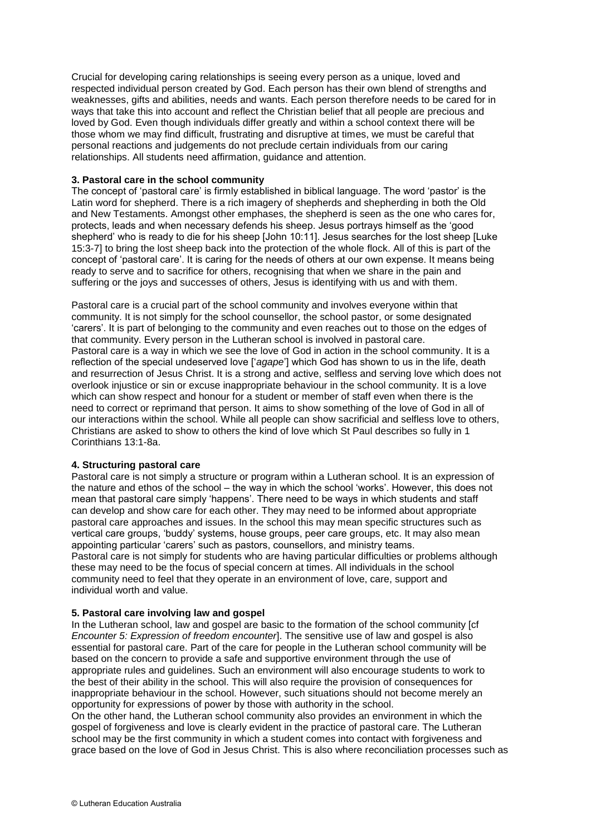Crucial for developing caring relationships is seeing every person as a unique, loved and respected individual person created by God. Each person has their own blend of strengths and weaknesses, gifts and abilities, needs and wants. Each person therefore needs to be cared for in ways that take this into account and reflect the Christian belief that all people are precious and loved by God. Even though individuals differ greatly and within a school context there will be those whom we may find difficult, frustrating and disruptive at times, we must be careful that personal reactions and judgements do not preclude certain individuals from our caring relationships. All students need affirmation, guidance and attention.

### **3. Pastoral care in the school community**

The concept of 'pastoral care' is firmly established in biblical language. The word 'pastor' is the Latin word for shepherd. There is a rich imagery of shepherds and shepherding in both the Old and New Testaments. Amongst other emphases, the shepherd is seen as the one who cares for, protects, leads and when necessary defends his sheep. Jesus portrays himself as the 'good shepherd' who is ready to die for his sheep [John 10:11]. Jesus searches for the lost sheep [Luke 15:3-7] to bring the lost sheep back into the protection of the whole flock. All of this is part of the concept of 'pastoral care'. It is caring for the needs of others at our own expense. It means being ready to serve and to sacrifice for others, recognising that when we share in the pain and suffering or the joys and successes of others, Jesus is identifying with us and with them.

Pastoral care is a crucial part of the school community and involves everyone within that community. It is not simply for the school counsellor, the school pastor, or some designated 'carers'. It is part of belonging to the community and even reaches out to those on the edges of that community. Every person in the Lutheran school is involved in pastoral care. Pastoral care is a way in which we see the love of God in action in the school community. It is a reflection of the special undeserved love ['*agape*'] which God has shown to us in the life, death and resurrection of Jesus Christ. It is a strong and active, selfless and serving love which does not overlook injustice or sin or excuse inappropriate behaviour in the school community. It is a love which can show respect and honour for a student or member of staff even when there is the need to correct or reprimand that person. It aims to show something of the love of God in all of our interactions within the school. While all people can show sacrificial and selfless love to others, Christians are asked to show to others the kind of love which St Paul describes so fully in 1 Corinthians 13:1-8a.

### **4. Structuring pastoral care**

Pastoral care is not simply a structure or program within a Lutheran school. It is an expression of the nature and ethos of the school – the way in which the school 'works'. However, this does not mean that pastoral care simply 'happens'. There need to be ways in which students and staff can develop and show care for each other. They may need to be informed about appropriate pastoral care approaches and issues. In the school this may mean specific structures such as vertical care groups, 'buddy' systems, house groups, peer care groups, etc. It may also mean appointing particular 'carers' such as pastors, counsellors, and ministry teams. Pastoral care is not simply for students who are having particular difficulties or problems although these may need to be the focus of special concern at times. All individuals in the school community need to feel that they operate in an environment of love, care, support and individual worth and value.

# **5. Pastoral care involving law and gospel**

In the Lutheran school, law and gospel are basic to the formation of the school community [cf *Encounter 5: Expression of freedom encounter*]. The sensitive use of law and gospel is also essential for pastoral care. Part of the care for people in the Lutheran school community will be based on the concern to provide a safe and supportive environment through the use of appropriate rules and guidelines. Such an environment will also encourage students to work to the best of their ability in the school. This will also require the provision of consequences for inappropriate behaviour in the school. However, such situations should not become merely an opportunity for expressions of power by those with authority in the school.

On the other hand, the Lutheran school community also provides an environment in which the gospel of forgiveness and love is clearly evident in the practice of pastoral care. The Lutheran school may be the first community in which a student comes into contact with forgiveness and grace based on the love of God in Jesus Christ. This is also where reconciliation processes such as